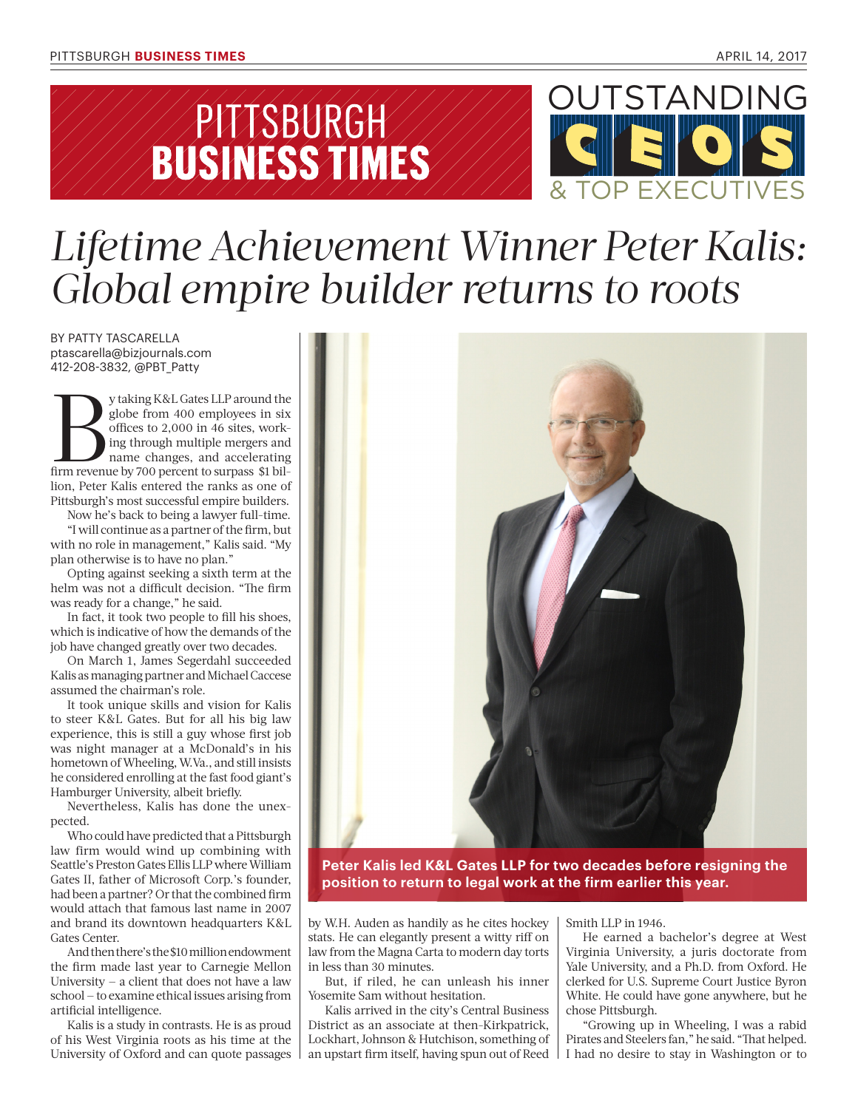



## *Lifetime Achievement Winner Peter Kalis: Global empire builder returns to roots*

BY PATTY TASCARELLA ptascarella@bizjournals.com 412-208-3832, @PBT\_Patty

y taking K&L Gates LLP around the globe from 400 employees in six offices to 2,000 in 46 sites, working through multiple mergers and from revenue by 700 percent to surpass \$1 bilglobe from 400 employees in six offices to 2,000 in 46 sites, working through multiple mergers and name changes, and accelerating lion, Peter Kalis entered the ranks as one of Pittsburgh's most successful empire builders.

Now he's back to being a lawyer full-time. "I will continue as a partner of the firm, but

with no role in management," Kalis said. "My plan otherwise is to have no plan."

Opting against seeking a sixth term at the helm was not a difficult decision. "The firm was ready for a change," he said.

In fact, it took two people to fill his shoes, which is indicative of how the demands of the job have changed greatly over two decades.

On March 1, James Segerdahl succeeded Kalis as managing partner and Michael Caccese assumed the chairman's role.

It took unique skills and vision for Kalis to steer K&L Gates. But for all his big law experience, this is still a guy whose first job was night manager at a McDonald's in his hometown of Wheeling, W.Va., and still insists he considered enrolling at the fast food giant's Hamburger University, albeit briefly.

Nevertheless, Kalis has done the unexpected.

Who could have predicted that a Pittsburgh law firm would wind up combining with Seattle's Preston Gates Ellis LLP where William Gates II, father of Microsoft Corp.'s founder, had been a partner? Or that the combined firm would attach that famous last name in 2007 and brand its downtown headquarters K&L Gates Center.

And then there's the \$10 million endowment the firm made last year to Carnegie Mellon University  $-$  a client that does not have a law school — to examine ethical issues arising from artificial intelligence.

Kalis is a study in contrasts. He is as proud of his West Virginia roots as his time at the University of Oxford and can quote passages



**Peter Kalis led K&L Gates LLP for two decades before resigning the position to return to legal work at the firm earlier this year.**

by W.H. Auden as handily as he cites hockey stats. He can elegantly present a witty riff on law from the Magna Carta to modern day torts in less than 30 minutes.

But, if riled, he can unleash his inner Yosemite Sam without hesitation.

Kalis arrived in the city's Central Business District as an associate at then-Kirkpatrick, Lockhart, Johnson & Hutchison, something of an upstart firm itself, having spun out of Reed Smith LLP in 1946.

He earned a bachelor's degree at West Virginia University, a juris doctorate from Yale University, and a Ph.D. from Oxford. He clerked for U.S. Supreme Court Justice Byron White. He could have gone anywhere, but he chose Pittsburgh.

"Growing up in Wheeling, I was a rabid Pirates and Steelers fan," he said. "That helped. I had no desire to stay in Washington or to